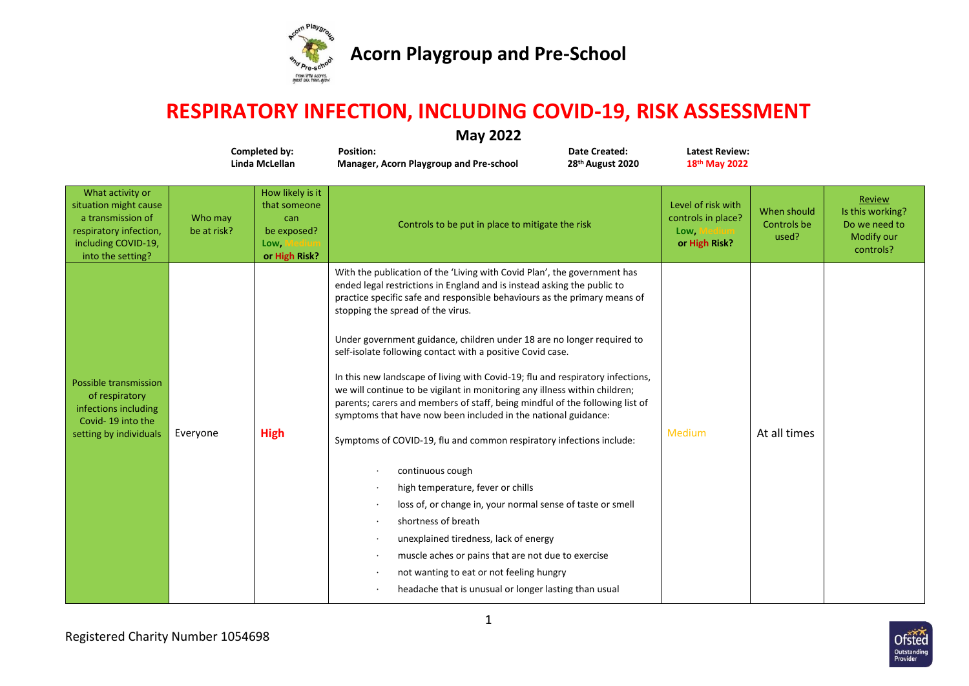

## **RESPIRATORY INFECTION, INCLUDING COVID-19, RISK ASSESSMENT**

| <b>May 2022</b><br>Completed by:<br><b>Position:</b><br><b>Latest Review:</b><br>Date Created: |                        |                                                                                 |                                                                                                                                                                                                                                                                                                                                                                                                                                                                                                                                                                                                                                                                                                                                                                                                                                                                                                                                                                                                                                                                                                                                                           |                              |                                                                   |                                     |                                                                        |  |  |
|------------------------------------------------------------------------------------------------|------------------------|---------------------------------------------------------------------------------|-----------------------------------------------------------------------------------------------------------------------------------------------------------------------------------------------------------------------------------------------------------------------------------------------------------------------------------------------------------------------------------------------------------------------------------------------------------------------------------------------------------------------------------------------------------------------------------------------------------------------------------------------------------------------------------------------------------------------------------------------------------------------------------------------------------------------------------------------------------------------------------------------------------------------------------------------------------------------------------------------------------------------------------------------------------------------------------------------------------------------------------------------------------|------------------------------|-------------------------------------------------------------------|-------------------------------------|------------------------------------------------------------------------|--|--|
|                                                                                                |                        | Linda McLellan                                                                  | Manager, Acorn Playgroup and Pre-school                                                                                                                                                                                                                                                                                                                                                                                                                                                                                                                                                                                                                                                                                                                                                                                                                                                                                                                                                                                                                                                                                                                   | 28 <sup>th</sup> August 2020 | 18 <sup>th</sup> May 2022                                         |                                     |                                                                        |  |  |
| activity or<br>might cause<br>smission of<br>ory infection,<br>g COVID-19,<br>e setting?       | Who may<br>be at risk? | How likely is it<br>that someone<br>can<br>be exposed?<br>Low,<br>or High Risk? | Controls to be put in place to mitigate the risk                                                                                                                                                                                                                                                                                                                                                                                                                                                                                                                                                                                                                                                                                                                                                                                                                                                                                                                                                                                                                                                                                                          |                              | Level of risk with<br>controls in place?<br>Low,<br>or High Risk? | When should<br>Controls be<br>used? | Review<br>Is this working?<br>Do we need to<br>Modify our<br>controls? |  |  |
| transmission<br>spiratory<br>ns including<br>19 into the<br>by individuals                     | Everyone               | <b>High</b>                                                                     | With the publication of the 'Living with Covid Plan', the government has<br>ended legal restrictions in England and is instead asking the public to<br>practice specific safe and responsible behaviours as the primary means of<br>stopping the spread of the virus.<br>Under government guidance, children under 18 are no longer required to<br>self-isolate following contact with a positive Covid case.<br>In this new landscape of living with Covid-19; flu and respiratory infections,<br>we will continue to be vigilant in monitoring any illness within children;<br>parents; carers and members of staff, being mindful of the following list of<br>symptoms that have now been included in the national guidance:<br>Symptoms of COVID-19, flu and common respiratory infections include:<br>continuous cough<br>high temperature, fever or chills<br>loss of, or change in, your normal sense of taste or smell<br>shortness of breath<br>unexplained tiredness, lack of energy<br>muscle aches or pains that are not due to exercise<br>not wanting to eat or not feeling hungry<br>headache that is unusual or longer lasting than usual |                              | <b>Medium</b>                                                     | At all times                        |                                                                        |  |  |



**What** situation a tran respirat includi  $int$ o t

Possible  $of *r*$ infectio Covidsetting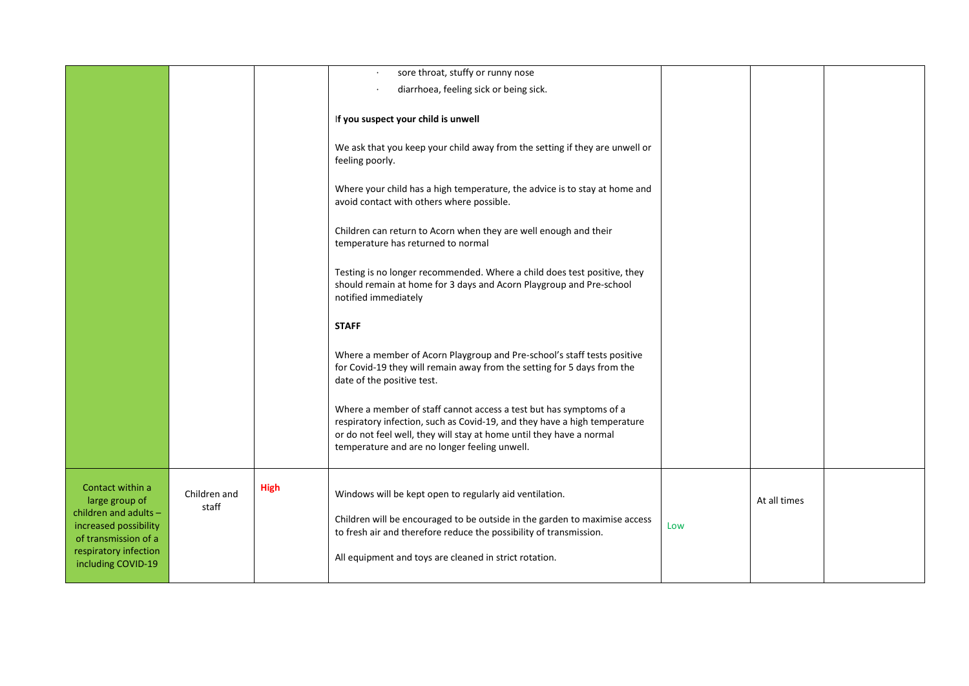|                                                                                                                                       |                       |             | sore throat, stuffy or runny nose<br>diarrhoea, feeling sick or being sick.                                                                                                                                                                                              |     |              |  |
|---------------------------------------------------------------------------------------------------------------------------------------|-----------------------|-------------|--------------------------------------------------------------------------------------------------------------------------------------------------------------------------------------------------------------------------------------------------------------------------|-----|--------------|--|
|                                                                                                                                       |                       |             | If you suspect your child is unwell                                                                                                                                                                                                                                      |     |              |  |
|                                                                                                                                       |                       |             | We ask that you keep your child away from the setting if they are unwell or<br>feeling poorly.                                                                                                                                                                           |     |              |  |
|                                                                                                                                       |                       |             | Where your child has a high temperature, the advice is to stay at home and<br>avoid contact with others where possible.                                                                                                                                                  |     |              |  |
|                                                                                                                                       |                       |             | Children can return to Acorn when they are well enough and their<br>temperature has returned to normal                                                                                                                                                                   |     |              |  |
|                                                                                                                                       |                       |             | Testing is no longer recommended. Where a child does test positive, they<br>should remain at home for 3 days and Acorn Playgroup and Pre-school<br>notified immediately                                                                                                  |     |              |  |
|                                                                                                                                       |                       |             | <b>STAFF</b>                                                                                                                                                                                                                                                             |     |              |  |
|                                                                                                                                       |                       |             | Where a member of Acorn Playgroup and Pre-school's staff tests positive<br>for Covid-19 they will remain away from the setting for 5 days from the<br>date of the positive test.                                                                                         |     |              |  |
|                                                                                                                                       |                       |             | Where a member of staff cannot access a test but has symptoms of a<br>respiratory infection, such as Covid-19, and they have a high temperature<br>or do not feel well, they will stay at home until they have a normal<br>temperature and are no longer feeling unwell. |     |              |  |
| Contact within a<br>large group of<br>children and adults -<br>increased possibility<br>of transmission of a<br>respiratory infection | Children and<br>staff | <b>High</b> | Windows will be kept open to regularly aid ventilation.<br>Children will be encouraged to be outside in the garden to maximise access<br>to fresh air and therefore reduce the possibility of transmission.<br>All equipment and toys are cleaned in strict rotation.    | Low | At all times |  |
| including COVID-19                                                                                                                    |                       |             |                                                                                                                                                                                                                                                                          |     |              |  |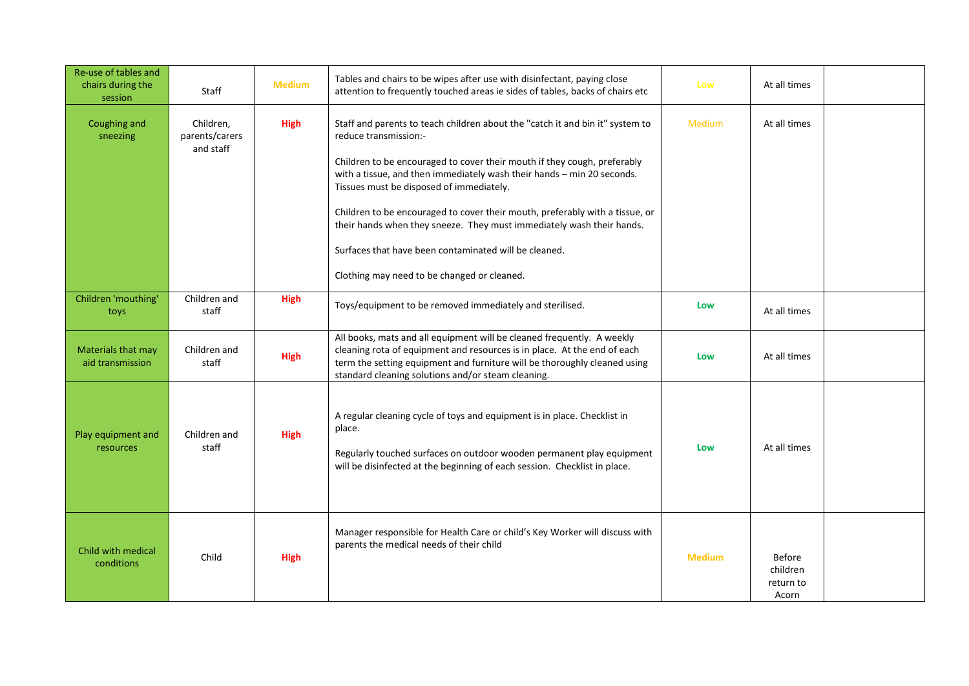| Re-use of tables and<br>chairs during the<br>session | Staff                                    | <b>Medium</b> | Tables and chairs to be wipes after use with disinfectant, paying close<br>attention to frequently touched areas ie sides of tables, backs of chairs etc                                                                                                                                                                                                                                                                                                                                                                                                                  | Low           | At all times                                    |  |
|------------------------------------------------------|------------------------------------------|---------------|---------------------------------------------------------------------------------------------------------------------------------------------------------------------------------------------------------------------------------------------------------------------------------------------------------------------------------------------------------------------------------------------------------------------------------------------------------------------------------------------------------------------------------------------------------------------------|---------------|-------------------------------------------------|--|
| Coughing and<br>sneezing                             | Children,<br>parents/carers<br>and staff | <b>High</b>   | Staff and parents to teach children about the "catch it and bin it" system to<br>reduce transmission:-<br>Children to be encouraged to cover their mouth if they cough, preferably<br>with a tissue, and then immediately wash their hands - min 20 seconds.<br>Tissues must be disposed of immediately.<br>Children to be encouraged to cover their mouth, preferably with a tissue, or<br>their hands when they sneeze. They must immediately wash their hands.<br>Surfaces that have been contaminated will be cleaned.<br>Clothing may need to be changed or cleaned. | <b>Medium</b> | At all times                                    |  |
| Children 'mouthing'<br>toys                          | Children and<br>staff                    | <b>High</b>   | Toys/equipment to be removed immediately and sterilised.                                                                                                                                                                                                                                                                                                                                                                                                                                                                                                                  | Low           | At all times                                    |  |
| Materials that may<br>aid transmission               | Children and<br>staff                    | <b>High</b>   | All books, mats and all equipment will be cleaned frequently. A weekly<br>cleaning rota of equipment and resources is in place. At the end of each<br>term the setting equipment and furniture will be thoroughly cleaned using<br>standard cleaning solutions and/or steam cleaning.                                                                                                                                                                                                                                                                                     | Low           | At all times                                    |  |
| Play equipment and<br>resources                      | Children and<br>staff                    | <b>High</b>   | A regular cleaning cycle of toys and equipment is in place. Checklist in<br>place.<br>Regularly touched surfaces on outdoor wooden permanent play equipment<br>will be disinfected at the beginning of each session. Checklist in place.                                                                                                                                                                                                                                                                                                                                  | Low           | At all times                                    |  |
| Child with medical<br>conditions                     | Child                                    | <b>High</b>   | Manager responsible for Health Care or child's Key Worker will discuss with<br>parents the medical needs of their child                                                                                                                                                                                                                                                                                                                                                                                                                                                   | <b>Medium</b> | <b>Before</b><br>children<br>return to<br>Acorn |  |